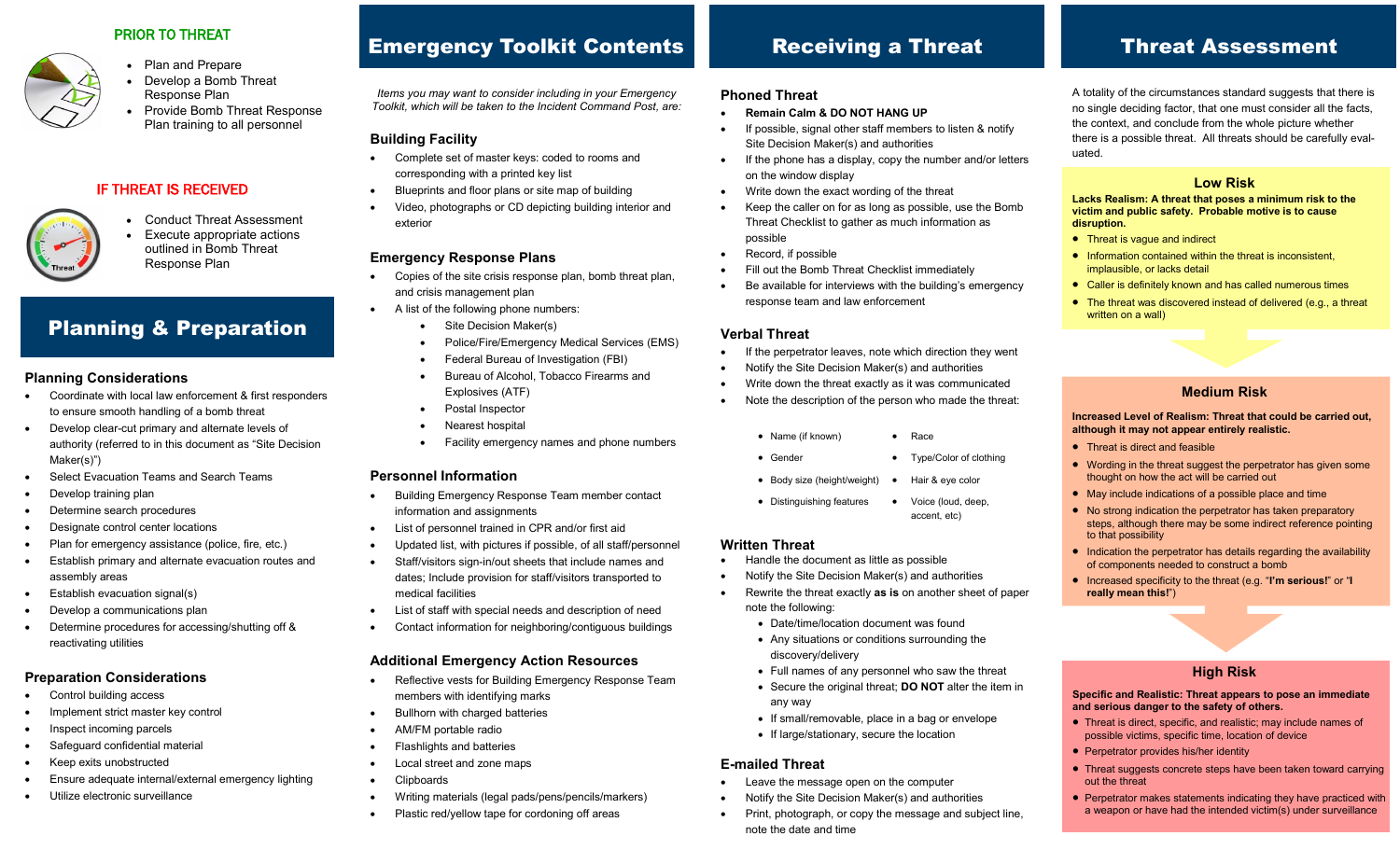#### PRIOR TO THREAT



#### • Plan and Prepare Develop a Bomb Threat Response Plan

• Provide Bomb Threat Response Plan training to all personnel

### IF THREAT IS RECEIVED



 Conduct Threat Assessment Execute appropriate actions outlined in Bomb Threat Response Plan

# Planning & Preparation

#### **Planning Considerations**

- Coordinate with local law enforcement & first responders to ensure smooth handling of a bomb threat
- Develop clear-cut primary and alternate levels of authority (referred to in this document as "Site Decision Maker(s)")
- Select Evacuation Teams and Search Teams
- Develop training plan
- Determine search procedures
- Designate control center locations
- Plan for emergency assistance (police, fire, etc.)
- Establish primary and alternate evacuation routes and assembly areas
- Establish evacuation signal(s)
- Develop a communications plan
- Determine procedures for accessing/shutting off & reactivating utilities

#### **Preparation Considerations**

- Control building access
- Implement strict master key control
- Inspect incoming parcels
- Safeguard confidential material
- Keep exits unobstructed
- Ensure adequate internal/external emergency lighting
- Utilize electronic surveillance

# Emergency Toolkit Contents

*Items you may want to consider including in your Emergency Toolkit, which will be taken to the Incident Command Post, are:*

#### **Building Facility**

- Complete set of master keys: coded to rooms and corresponding with a printed key list
- Blueprints and floor plans or site map of building
- Video, photographs or CD depicting building interior and exterior

#### **Emergency Response Plans**

- Copies of the site crisis response plan, bomb threat plan, and crisis management plan
- A list of the following phone numbers:
	- Site Decision Maker(s)
	- Police/Fire/Emergency Medical Services (EMS)
	- Federal Bureau of Investigation (FBI)
	- Bureau of Alcohol, Tobacco Firearms and Explosives (ATF)
	- Postal Inspector
	- Nearest hospital
	- Facility emergency names and phone numbers

#### **Personnel Information**

- Building Emergency Response Team member contact information and assignments
- List of personnel trained in CPR and/or first aid
- Updated list, with pictures if possible, of all staff/personnel
- Staff/visitors sign-in/out sheets that include names and dates; Include provision for staff/visitors transported to medical facilities
- List of staff with special needs and description of need
- Contact information for neighboring/contiguous buildings

#### **Additional Emergency Action Resources**

- Reflective vests for Building Emergency Response Team members with identifying marks
- Bullhorn with charged batteries
- AM/FM portable radio
- Flashlights and batteries
- Local street and zone maps
- **Clipboards**
- Writing materials (legal pads/pens/pencils/markers)
- Plastic red/yellow tape for cordoning off areas

### Receiving a Threat

#### **Phoned Threat**

- **Remain Calm & DO NOT HANG UP**
- If possible, signal other staff members to listen & notify Site Decision Maker(s) and authorities
- If the phone has a display, copy the number and/or letters on the window display
- Write down the exact wording of the threat
- Keep the caller on for as long as possible, use the Bomb Threat Checklist to gather as much information as possible
- Record, if possible
- Fill out the Bomb Threat Checklist immediately
- Be available for interviews with the building's emergency response team and law enforcement

#### **Verbal Threat**

- If the perpetrator leaves, note which direction they went
- Notify the Site Decision Maker(s) and authorities
- Write down the threat exactly as it was communicated
- Note the description of the person who made the threat:
	- Name (if known) Race
	- Gender Type/Color of clothing
	- Body size (height/weight) Hair & eye color
	- Distinguishing features Voice (loud, deep, accent, etc)

#### **Written Threat**

- Handle the document as little as possible
- Notify the Site Decision Maker(s) and authorities
- Rewrite the threat exactly **as is** on another sheet of paper note the following:
	- Date/time/location document was found
	- Any situations or conditions surrounding the discovery/delivery
	- Full names of any personnel who saw the threat
	- Secure the original threat; **DO NOT** alter the item in any way
	- If small/removable, place in a bag or envelope
	- If large/stationary, secure the location

#### **E-mailed Threat**

- Leave the message open on the computer
- Notify the Site Decision Maker(s) and authorities
- Print, photograph, or copy the message and subject line, note the date and time

# Threat Assessment

A totality of the circumstances standard suggests that there is no single deciding factor, that one must consider all the facts, the context, and conclude from the whole picture whether there is a possible threat. All threats should be carefully evaluated.

#### **Low Risk**

**Lacks Realism: A threat that poses a minimum risk to the victim and public safety. Probable motive is to cause disruption.**

• Threat is vague and indirect

written on a wall)

- Information contained within the threat is inconsistent. implausible, or lacks detail
- Caller is definitely known and has called numerous times • The threat was discovered instead of delivered (e.g., a threat

**Medium Risk Increased Level of Realism: Threat that could be carried out,** 

Wording in the threat suggest the perpetrator has given some

• Indication the perpetrator has details regarding the availability

Increased specificity to the threat (e.g. "**I'm serious!**" or "**I** 

**although it may not appear entirely realistic.**

thought on how the act will be carried out May include indications of a possible place and time • No strong indication the perpetrator has taken preparatory steps, although there may be some indirect reference pointing

of components needed to construct a bomb

• Threat is direct and feasible

to that possibility

**really mean this!**")

**Specific and Realistic: Threat appears to pose an immediate** 

**High Risk**

 Threat is direct, specific, and realistic; may include names of possible victims, specific time, location of device

• Threat suggests concrete steps have been taken toward carrying

• Perpetrator makes statements indicating they have practiced with a weapon or have had the intended victim(s) under surveillance

**and serious danger to the safety of others.**

**•** Perpetrator provides his/her identity

out the threat